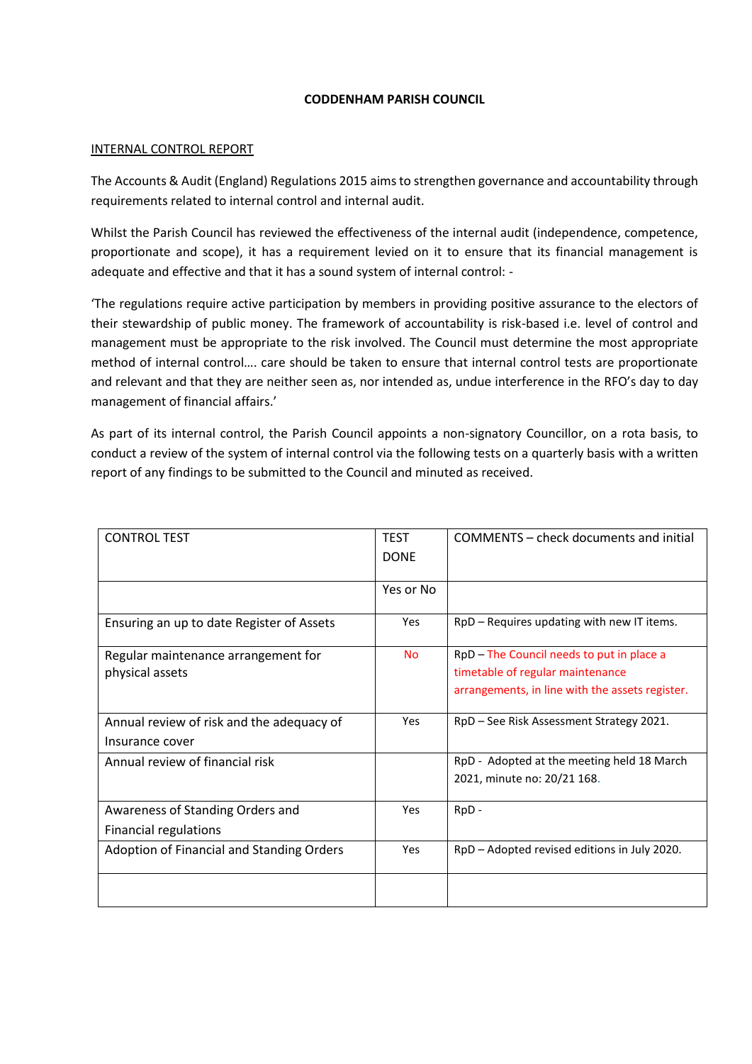## **CODDENHAM PARISH COUNCIL**

## INTERNAL CONTROL REPORT

The Accounts & Audit (England) Regulations 2015 aims to strengthen governance and accountability through requirements related to internal control and internal audit.

Whilst the Parish Council has reviewed the effectiveness of the internal audit (independence, competence, proportionate and scope), it has a requirement levied on it to ensure that its financial management is adequate and effective and that it has a sound system of internal control: -

'The regulations require active participation by members in providing positive assurance to the electors of their stewardship of public money. The framework of accountability is risk-based i.e. level of control and management must be appropriate to the risk involved. The Council must determine the most appropriate method of internal control…. care should be taken to ensure that internal control tests are proportionate and relevant and that they are neither seen as, nor intended as, undue interference in the RFO's day to day management of financial affairs.'

As part of its internal control, the Parish Council appoints a non-signatory Councillor, on a rota basis, to conduct a review of the system of internal control via the following tests on a quarterly basis with a written report of any findings to be submitted to the Council and minuted as received.

| <b>CONTROL TEST</b>                                              | <b>TEST</b> | COMMENTS – check documents and initial                                                                                           |
|------------------------------------------------------------------|-------------|----------------------------------------------------------------------------------------------------------------------------------|
|                                                                  | <b>DONE</b> |                                                                                                                                  |
|                                                                  | Yes or No   |                                                                                                                                  |
| Ensuring an up to date Register of Assets                        | Yes         | RpD - Requires updating with new IT items.                                                                                       |
| Regular maintenance arrangement for<br>physical assets           | <b>No</b>   | RpD - The Council needs to put in place a<br>timetable of regular maintenance<br>arrangements, in line with the assets register. |
| Annual review of risk and the adequacy of<br>Insurance cover     | Yes         | RpD - See Risk Assessment Strategy 2021.                                                                                         |
| Annual review of financial risk                                  |             | RpD - Adopted at the meeting held 18 March<br>2021, minute no: 20/21 168.                                                        |
| Awareness of Standing Orders and<br><b>Financial regulations</b> | Yes         | RpD -                                                                                                                            |
|                                                                  | Yes         | RpD – Adopted revised editions in July 2020.                                                                                     |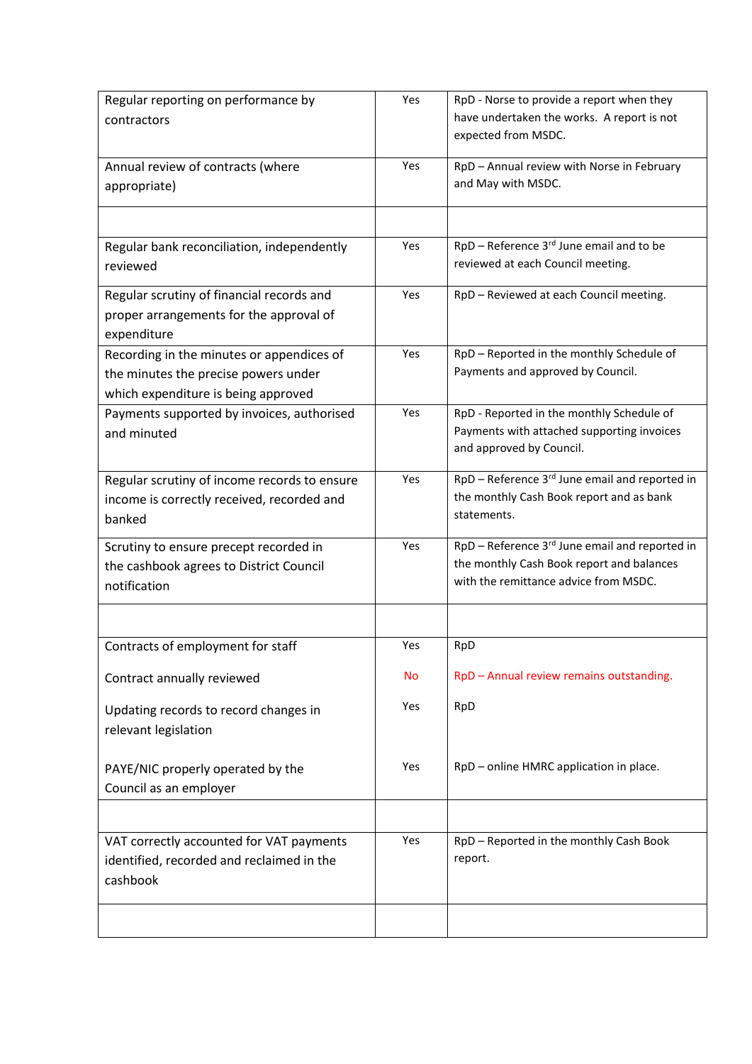| Regular reporting on performance by          | Yes | RpD - Norse to provide a report when they      |
|----------------------------------------------|-----|------------------------------------------------|
| contractors                                  |     | have undertaken the works. A report is not     |
|                                              |     | expected from MSDC.                            |
| Annual review of contracts (where            | Yes | RpD - Annual review with Norse in February     |
| appropriate)                                 |     | and May with MSDC.                             |
|                                              |     |                                                |
|                                              |     |                                                |
| Regular bank reconciliation, independently   | Yes | RpD - Reference 3rd June email and to be       |
| reviewed                                     |     | reviewed at each Council meeting.              |
| Regular scrutiny of financial records and    | Yes | RpD - Reviewed at each Council meeting.        |
| proper arrangements for the approval of      |     |                                                |
| expenditure                                  |     |                                                |
| Recording in the minutes or appendices of    | Yes | RpD - Reported in the monthly Schedule of      |
| the minutes the precise powers under         |     | Payments and approved by Council.              |
| which expenditure is being approved          |     |                                                |
| Payments supported by invoices, authorised   | Yes | RpD - Reported in the monthly Schedule of      |
| and minuted                                  |     | Payments with attached supporting invoices     |
|                                              |     | and approved by Council.                       |
| Regular scrutiny of income records to ensure | Yes | RpD - Reference 3rd June email and reported in |
| income is correctly received, recorded and   |     | the monthly Cash Book report and as bank       |
| banked                                       |     | statements.                                    |
|                                              |     |                                                |
| Scrutiny to ensure precept recorded in       | Yes | RpD - Reference 3rd June email and reported in |
| the cashbook agrees to District Council      |     | the monthly Cash Book report and balances      |
| notification                                 |     | with the remittance advice from MSDC.          |
|                                              |     |                                                |
| Contracts of employment for staff            | Yes | RpD                                            |
| Contract annually reviewed                   | No  | RpD - Annual review remains outstanding.       |
|                                              |     |                                                |
| Updating records to record changes in        | Yes | RpD                                            |
| relevant legislation                         |     |                                                |
|                                              |     |                                                |
| PAYE/NIC properly operated by the            | Yes | RpD - online HMRC application in place.        |
| Council as an employer                       |     |                                                |
|                                              |     |                                                |
| VAT correctly accounted for VAT payments     | Yes | RpD - Reported in the monthly Cash Book        |
| identified, recorded and reclaimed in the    |     | report.                                        |
| cashbook                                     |     |                                                |
|                                              |     |                                                |
|                                              |     |                                                |
|                                              |     |                                                |